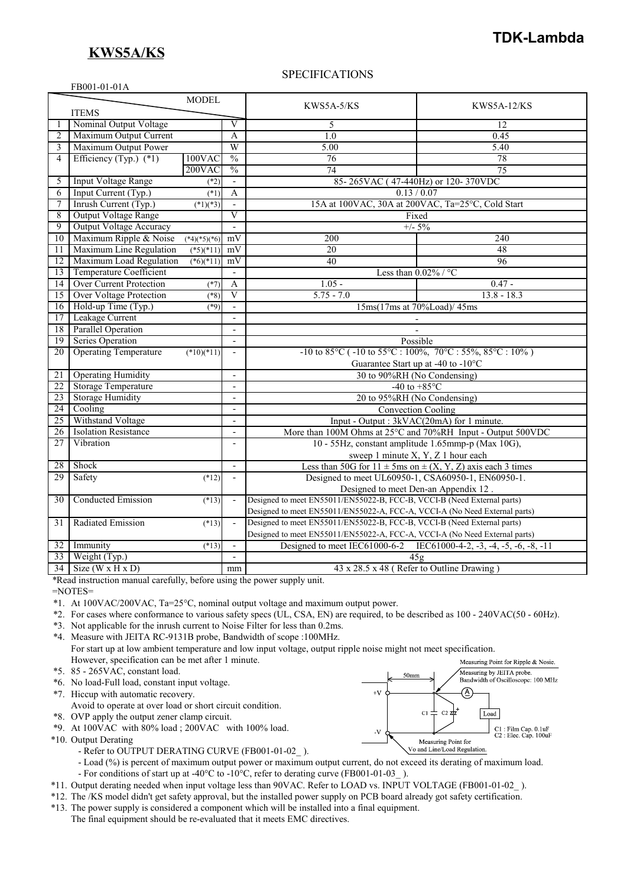## **KWS5A/KS**

## **TDK-Lambda**

#### FB001-01-01A

### SPECIFICATIONS

| <b>MODEL</b><br>KWS5A-5/KS<br><b>KWS5A-12/KS</b>                                                                                                                                                    |                                                    |  |  |
|-----------------------------------------------------------------------------------------------------------------------------------------------------------------------------------------------------|----------------------------------------------------|--|--|
|                                                                                                                                                                                                     |                                                    |  |  |
| <b>ITEMS</b>                                                                                                                                                                                        |                                                    |  |  |
| Nominal Output Voltage<br>$\overline{\rm v}$<br>5<br>12                                                                                                                                             |                                                    |  |  |
| Maximum Output Current<br>$\overline{1.0}$<br>0.45<br>2<br>A                                                                                                                                        |                                                    |  |  |
| W<br>Maximum Output Power<br>3<br>5.00<br>5.40                                                                                                                                                      |                                                    |  |  |
| Efficiency (Typ.) $(*1)$<br>$\frac{0}{0}$<br>100VAC<br>76<br>78<br>4                                                                                                                                |                                                    |  |  |
| $\frac{0}{0}$<br>$200$ VAC<br>$\overline{74}$<br>$\overline{75}$                                                                                                                                    |                                                    |  |  |
| <b>Input Voltage Range</b><br>5<br>85-265VAC (47-440Hz) or 120-370VDC<br>$(*2)$                                                                                                                     |                                                    |  |  |
| 6<br>Input Current (Typ.)<br>$(*1)$<br>A<br>0.13 / 0.07                                                                                                                                             |                                                    |  |  |
| 15A at 100VAC, 30A at 200VAC, Ta=25°C, Cold Start<br>7<br>Inrush Current (Typ.)<br>$(*1)(*3)$                                                                                                       |                                                    |  |  |
| $\overline{8}$<br>Output Voltage Range<br>$\overline{\mathbf{V}}$<br>Fixed                                                                                                                          |                                                    |  |  |
| $\overline{9}$<br><b>Output Voltage Accuracy</b><br>$+/- 5\%$<br>$\mathbf{r}$                                                                                                                       |                                                    |  |  |
| Maximum Ripple & Noise<br>200<br>240<br>10<br>mV<br>$(*4)(*5)(*6)$                                                                                                                                  |                                                    |  |  |
| Maximum Line Regulation<br>$(*5)(*11)$<br>$\overline{20}$<br>48<br>11<br>mV                                                                                                                         |                                                    |  |  |
| Maximum Load Regulation<br>$\overline{40}$<br>$\overline{96}$<br>12<br>$(*6)(*11)$<br>mV                                                                                                            |                                                    |  |  |
| <b>Temperature Coefficient</b><br>Less than $0.02\%$ / °C<br>13<br>$\overline{\phantom{a}}$                                                                                                         |                                                    |  |  |
| Over Current Protection<br>$1.05 -$<br>$0.47 -$<br>14<br>$(*7)$<br>A                                                                                                                                |                                                    |  |  |
| Over Voltage Protection<br>$\overline{V}$<br>$5.75 - 7.0$<br>$13.8 - 18.3$<br>15<br>$(*8)$                                                                                                          |                                                    |  |  |
| Hold-up Time (Typ.)<br>16<br>(89)<br>15ms(17ms at 70%Load)/45ms<br>$\blacksquare$                                                                                                                   |                                                    |  |  |
| Leakage Current<br>17<br>$\overline{\phantom{a}}$                                                                                                                                                   |                                                    |  |  |
| Parallel Operation<br>18<br>$\overline{\phantom{a}}$                                                                                                                                                |                                                    |  |  |
| Series Operation<br>19<br>Possible                                                                                                                                                                  |                                                    |  |  |
| <b>Operating Temperature</b><br>-10 to 85 $^{\circ}$ C (-10 to 55 $^{\circ}$ C : 100%, 70 $^{\circ}$ C : 55%, 85 $^{\circ}$ C : 10%)<br>$\overline{20}$<br>$(*10)(*11)$<br>$\overline{\phantom{a}}$ |                                                    |  |  |
| Guarantee Start up at -40 to -10°C                                                                                                                                                                  |                                                    |  |  |
| <b>Operating Humidity</b><br>21<br>30 to 90%RH (No Condensing)<br>$\overline{a}$                                                                                                                    |                                                    |  |  |
| <b>Storage Temperature</b><br>22<br>-40 to $+85^{\circ}$ C                                                                                                                                          |                                                    |  |  |
| Storage Humidity<br>23<br>20 to 95%RH (No Condensing)                                                                                                                                               |                                                    |  |  |
| Cooling<br>24<br><b>Convection Cooling</b><br>$\overline{a}$                                                                                                                                        |                                                    |  |  |
| Withstand Voltage<br>25<br>Input - Output : 3kVAC(20mA) for 1 minute.<br>$\overline{\phantom{a}}$                                                                                                   |                                                    |  |  |
| <b>Isolation Resistance</b><br>26<br>More than 100M Ohms at 25°C and 70%RH Input - Output 500VDC<br>$\overline{\phantom{a}}$                                                                        |                                                    |  |  |
| 27<br>Vibration                                                                                                                                                                                     | 10 - 55Hz, constant amplitude 1.65mmp-p (Max 10G), |  |  |
|                                                                                                                                                                                                     | sweep 1 minute X, Y, Z 1 hour each                 |  |  |
| Shock<br>Less than 50G for $11 \pm 5$ ms on $\pm (X, Y, Z)$ axis each 3 times<br>28<br>$\overline{\phantom{a}}$                                                                                     |                                                    |  |  |
| 29<br>Safety<br>Designed to meet UL60950-1, CSA60950-1, EN60950-1.<br>$(*12)$<br>$\overline{a}$                                                                                                     |                                                    |  |  |
|                                                                                                                                                                                                     | Designed to meet Den-an Appendix 12                |  |  |
| Designed to meet EN55011/EN55022-B, FCC-B, VCCI-B (Need External parts)<br><b>Conducted Emission</b><br>30<br>$(*13)$<br>$\frac{1}{2}$                                                              |                                                    |  |  |
| Designed to meet EN55011/EN55022-A, FCC-A, VCCI-A (No Need External parts)                                                                                                                          |                                                    |  |  |
| Radiated Emission<br>Designed to meet EN55011/EN55022-B, FCC-B, VCCI-B (Need External parts)<br>31<br>$(*13)$<br>$\blacksquare$                                                                     |                                                    |  |  |
| Designed to meet EN55011/EN55022-A, FCC-A, VCCI-A (No Need External parts)                                                                                                                          |                                                    |  |  |
| Immunity<br>Designed to meet IEC61000-6-2 IEC61000-4-2, -3, -4, -5, -6, -8, -11<br>32<br>$(*13)$<br>$\mathbf{r}$                                                                                    |                                                    |  |  |
| Weight (Typ.)<br>33<br>45g<br>$\frac{1}{2}$                                                                                                                                                         |                                                    |  |  |
| $34$ Size (W x H x D)<br>43 x 28.5 x 48 (Refer to Outline Drawing)<br>mm                                                                                                                            |                                                    |  |  |

\*Read instruction manual carefully, before using the power supply unit.

=NOTES=

\*1. At 100VAC/200VAC, Ta=25°C, nominal output voltage and maximum output power.

- \*2. For cases where conformance to various safety specs (UL, CSA, EN) are required, to be described as 100 240VAC(50 60Hz).
- \*3. Not applicable for the inrush current to Noise Filter for less than 0.2ms.
- \*4. Measure with JEITA RC-9131B probe, Bandwidth of scope :100MHz. For start up at low ambient temperature and low input voltage, output ripple noise might not meet specification. However, specification can be met after 1 minute.
- \*5. 85 265VAC, constant load.
- \*6. No load-Full load, constant input voltage.
- \*7. Hiccup with automatic recovery.
- Avoid to operate at over load or short circuit condition.
- \*8. OVP apply the output zener clamp circuit.
- \*9. At 100VAC with 80% load ; 200VAC with 100% load.
- \*10. Output Derating
	- Refer to OUTPUT DERATING CURVE (FB001-01-02\_).

- Load (%) is percent of maximum output power or maximum output current, do not exceed its derating of maximum load.

- For conditions of start up at -40°C to -10°C, refer to derating curve (FB001-01-03).
- \*11. Output derating needed when input voltage less than 90VAC. Refer to LOAD vs. INPUT VOLTAGE (FB001-01-02\_ ).
- \*12. The /KS model didn't get safety approval, but the installed power supply on PCB board already got safety certification.
- \*13. The power supply is considered a component which will be installed into a final equipment.

Measuring Point for Ripple & Nosie. Measuring by JEITA probe.<br>Bandwidth of Oscilloscope: 100 MHz  $50<sub>mm</sub>$ Ά  $+V$  $\overline{c}$ Load C1: Film Cap. 0.1uF<br>C2: Elec. Cap. 100uF  $\mathbf{V}$ Measuring Point for Vo and Line/Load Regulation

The final equipment should be re-evaluated that it meets EMC directives.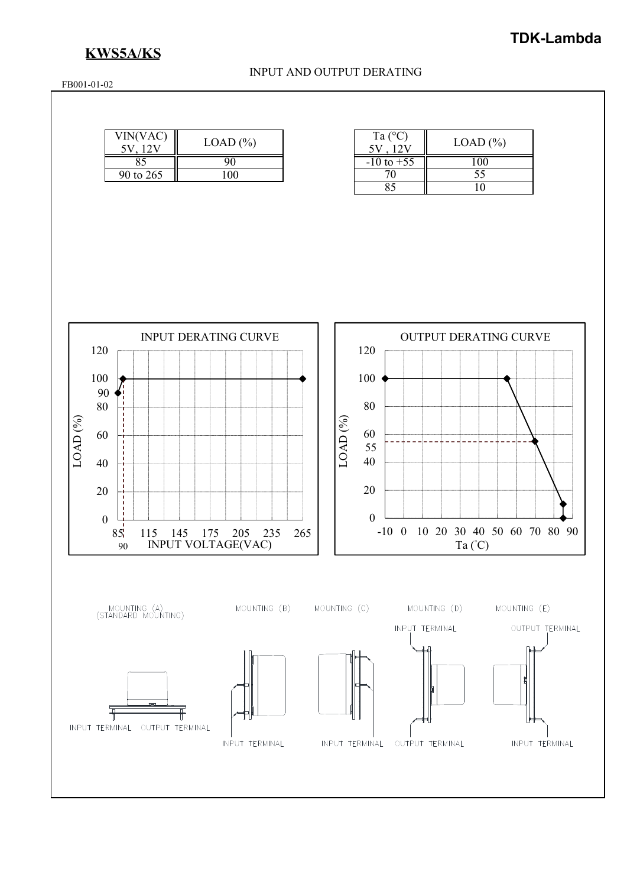# **KWS5A/KS**

### INPUT AND OUTPUT DERATING

FB001-01-02

| VIN(VAC)  | $LOAD$ $%$ | Ta $(^{\circ}C)$ | $LOAD$ $(\% )$ |
|-----------|------------|------------------|----------------|
| റാ        |            | $-10$ to $+55$   | LOO            |
| 90 to 265 | 00         |                  | ں ر            |

| Ta $(^{\circ}C)$      | $LOAD$ $%$ |
|-----------------------|------------|
| $-10 \text{ to } +55$ |            |
| 70                    | 55         |
| २८                    |            |